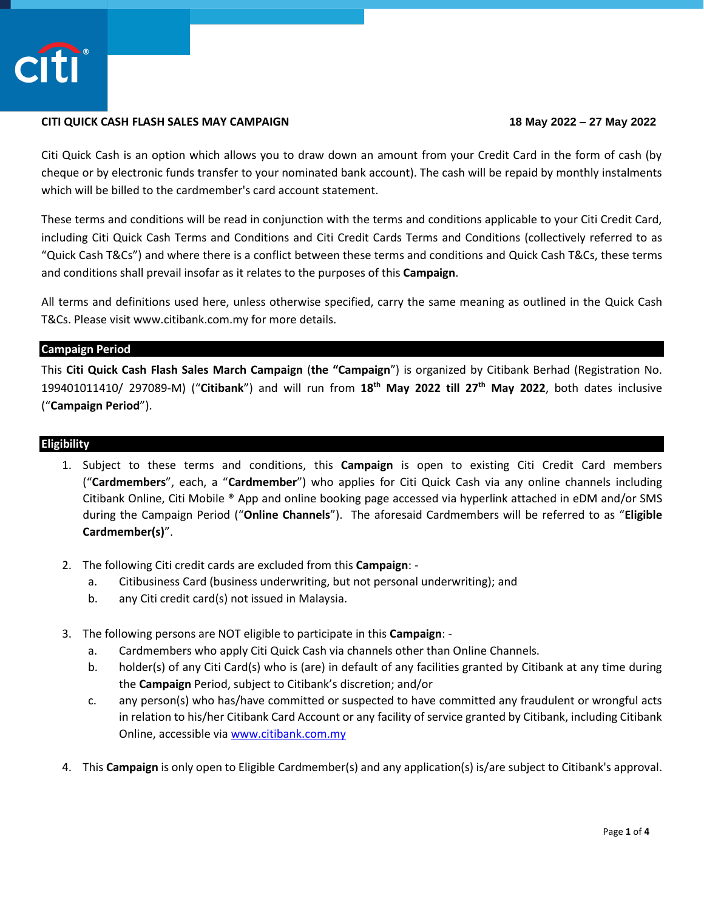

# **CITI QUICK CASH FLASH SALES MAY CAMPAIGN 18 May 2022 – 27 May 2022**

Citi Quick Cash is an option which allows you to draw down an amount from your Credit Card in the form of cash (by cheque or by electronic funds transfer to your nominated bank account). The cash will be repaid by monthly instalments which will be billed to the cardmember's card account statement.

These terms and conditions will be read in conjunction with the terms and conditions applicable to your Citi Credit Card, including Citi Quick Cash Terms and Conditions and Citi Credit Cards Terms and Conditions (collectively referred to as "Quick Cash T&Cs") and where there is a conflict between these terms and conditions and Quick Cash T&Cs, these terms and conditions shall prevail insofar as it relates to the purposes of this **Campaign**.

All terms and definitions used here, unless otherwise specified, carry the same meaning as outlined in the Quick Cash T&Cs. Please visit www.citibank.com.my for more details.

### **Campaign Period**

This **Citi Quick Cash Flash Sales March Campaign** (**the "Campaign**") is organized by Citibank Berhad (Registration No. 199401011410/ 297089-M) ("**Citibank**") and will run from **18th May 2022 till 27 th May 2022**, both dates inclusive ("**Campaign Period**").

# **Eligibility**

- 1. Subject to these terms and conditions, this **Campaign** is open to existing Citi Credit Card members ("**Cardmembers**", each, a "**Cardmember**") who applies for Citi Quick Cash via any online channels including Citibank Online, Citi Mobile ® App and online booking page accessed via hyperlink attached in eDM and/or SMS during the Campaign Period ("**Online Channels**"). The aforesaid Cardmembers will be referred to as "**Eligible Cardmember(s)**".
- 2. The following Citi credit cards are excluded from this **Campaign**:
	- a. Citibusiness Card (business underwriting, but not personal underwriting); and
	- b. any Citi credit card(s) not issued in Malaysia.
- 3. The following persons are NOT eligible to participate in this **Campaign**:
	- a. Cardmembers who apply Citi Quick Cash via channels other than Online Channels.
	- b. holder(s) of any Citi Card(s) who is (are) in default of any facilities granted by Citibank at any time during the **Campaign** Period, subject to Citibank's discretion; and/or
	- c. any person(s) who has/have committed or suspected to have committed any fraudulent or wrongful acts in relation to his/her Citibank Card Account or any facility of service granted by Citibank, including Citibank Online, accessible via [www.citibank.com.my](http://www.citibank.com.my/)
- 4. This **Campaign** is only open to Eligible Cardmember(s) and any application(s) is/are subject to Citibank's approval.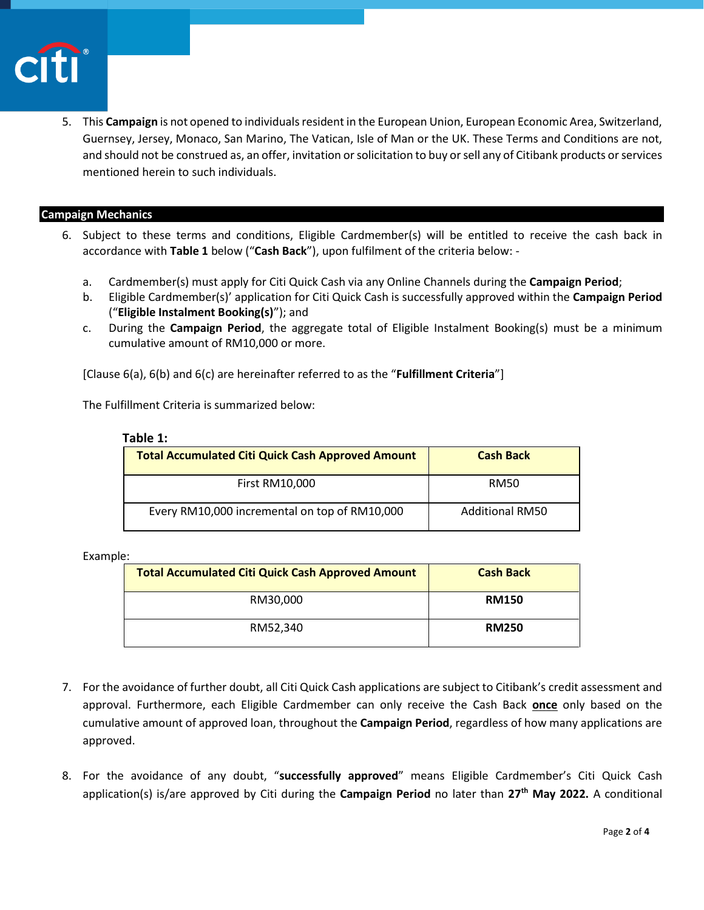

5. This **Campaign** is not opened to individuals resident in the European Union, European Economic Area, Switzerland, Guernsey, Jersey, Monaco, San Marino, The Vatican, Isle of Man or the UK. These Terms and Conditions are not, and should not be construed as, an offer, invitation or solicitation to buy or sell any of Citibank products or services mentioned herein to such individuals.

### **Campaign Mechanics**

- 6. Subject to these terms and conditions, Eligible Cardmember(s) will be entitled to receive the cash back in accordance with **Table 1** below ("**Cash Back**"), upon fulfilment of the criteria below:
	- a. Cardmember(s) must apply for Citi Quick Cash via any Online Channels during the **Campaign Period**;
	- b. Eligible Cardmember(s)' application for Citi Quick Cash is successfully approved within the **Campaign Period** ("**Eligible Instalment Booking(s)**"); and
	- c. During the **Campaign Period**, the aggregate total of Eligible Instalment Booking(s) must be a minimum cumulative amount of RM10,000 or more.

[Clause 6(a), 6(b) and 6(c) are hereinafter referred to as the "**Fulfillment Criteria**"]

The Fulfillment Criteria is summarized below:

| <b>Total Accumulated Citi Quick Cash Approved Amount</b> | <b>Cash Back</b>       |
|----------------------------------------------------------|------------------------|
| <b>First RM10,000</b>                                    | <b>RM50</b>            |
| Every RM10,000 incremental on top of RM10,000            | <b>Additional RM50</b> |

 **Table 1:** 

Example:

| <b>Total Accumulated Citi Quick Cash Approved Amount</b> | <b>Cash Back</b> |
|----------------------------------------------------------|------------------|
| RM30,000                                                 | <b>RM150</b>     |
| RM52,340                                                 | <b>RM250</b>     |

- 7. For the avoidance of further doubt, all Citi Quick Cash applications are subject to Citibank's credit assessment and approval. Furthermore, each Eligible Cardmember can only receive the Cash Back **once** only based on the cumulative amount of approved loan, throughout the **Campaign Period**, regardless of how many applications are approved.
- 8. For the avoidance of any doubt, "**successfully approved**" means Eligible Cardmember's Citi Quick Cash application(s) is/are approved by Citi during the **Campaign Period** no later than **27 th May 2022.** A conditional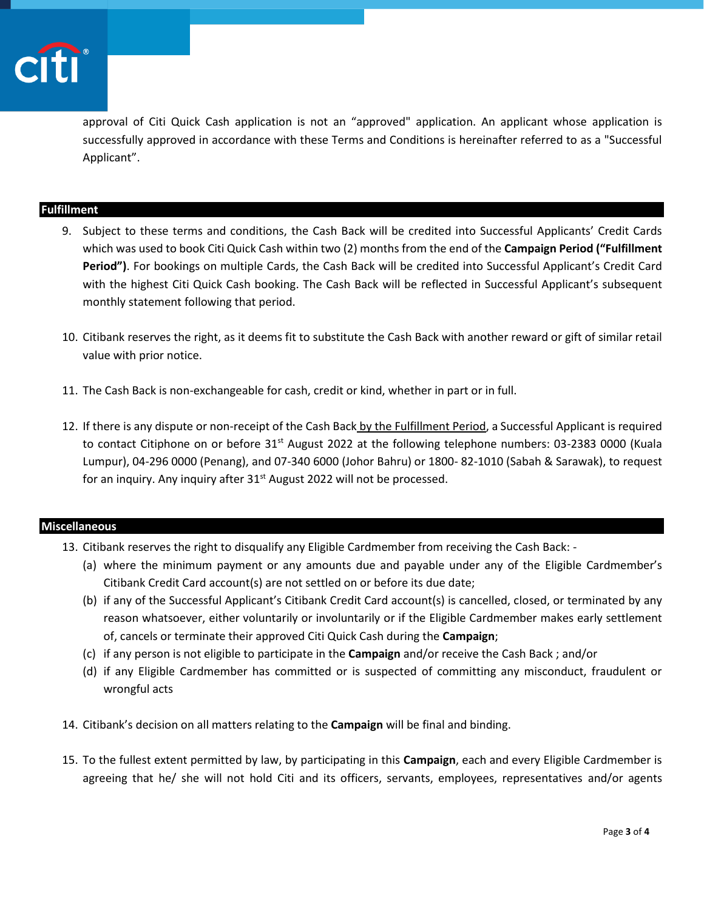

approval of Citi Quick Cash application is not an "approved" application. An applicant whose application is successfully approved in accordance with these Terms and Conditions is hereinafter referred to as a "Successful Applicant".

# **Fulfillment**

- 9. Subject to these terms and conditions, the Cash Back will be credited into Successful Applicants' Credit Cards which was used to book Citi Quick Cash within two (2) months from the end of the **Campaign Period ("Fulfillment Period")**. For bookings on multiple Cards, the Cash Back will be credited into Successful Applicant's Credit Card with the highest Citi Quick Cash booking. The Cash Back will be reflected in Successful Applicant's subsequent monthly statement following that period.
- 10. Citibank reserves the right, as it deems fit to substitute the Cash Back with another reward or gift of similar retail value with prior notice.
- 11. The Cash Back is non-exchangeable for cash, credit or kind, whether in part or in full.
- 12. If there is any dispute or non-receipt of the Cash Back by the Fulfillment Period, a Successful Applicant is required to contact Citiphone on or before 31<sup>st</sup> August 2022 at the following telephone numbers: 03-2383 0000 (Kuala Lumpur), 04-296 0000 (Penang), and 07-340 6000 (Johor Bahru) or 1800- 82-1010 (Sabah & Sarawak), to request for an inquiry. Any inquiry after 31<sup>st</sup> August 2022 will not be processed.

### **Miscellaneous**

- 13. Citibank reserves the right to disqualify any Eligible Cardmember from receiving the Cash Back:
	- (a) where the minimum payment or any amounts due and payable under any of the Eligible Cardmember's Citibank Credit Card account(s) are not settled on or before its due date;
	- (b) if any of the Successful Applicant's Citibank Credit Card account(s) is cancelled, closed, or terminated by any reason whatsoever, either voluntarily or involuntarily or if the Eligible Cardmember makes early settlement of, cancels or terminate their approved Citi Quick Cash during the **Campaign**;
	- (c) if any person is not eligible to participate in the **Campaign** and/or receive the Cash Back ; and/or
	- (d) if any Eligible Cardmember has committed or is suspected of committing any misconduct, fraudulent or wrongful acts
- 14. Citibank's decision on all matters relating to the **Campaign** will be final and binding.
- 15. To the fullest extent permitted by law, by participating in this **Campaign**, each and every Eligible Cardmember is agreeing that he/ she will not hold Citi and its officers, servants, employees, representatives and/or agents